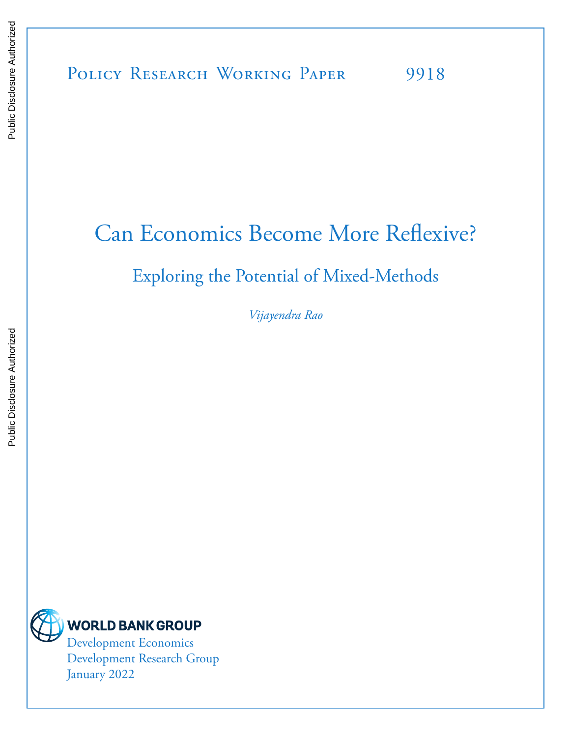# Can Economics Become More Reflexive?

# Exploring the Potential of Mixed-Methods

*Vijayendra Rao*



Development Research Group January 2022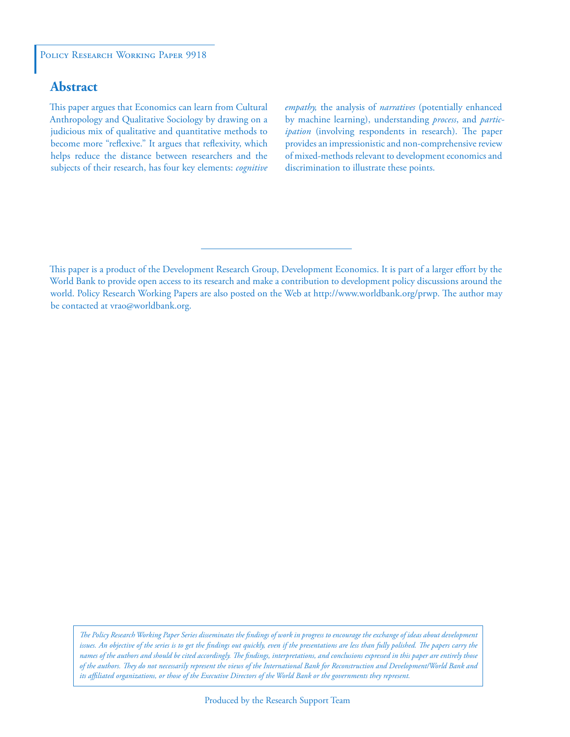#### POLICY RESEARCH WORKING PAPER 9918

# **Abstract**

This paper argues that Economics can learn from Cultural Anthropology and Qualitative Sociology by drawing on a judicious mix of qualitative and quantitative methods to become more "reflexive." It argues that reflexivity, which helps reduce the distance between researchers and the subjects of their research, has four key elements: *cognitive*  *empathy,* the analysis of *narratives* (potentially enhanced by machine learning), understanding *process*, and *participation* (involving respondents in research). The paper provides an impressionistic and non-comprehensive review of mixed-methods relevant to development economics and discrimination to illustrate these points.

*The Policy Research Working Paper Series disseminates the findings of work in progress to encourage the exchange of ideas about development*  issues. An objective of the series is to get the findings out quickly, even if the presentations are less than fully polished. The papers carry the *names of the authors and should be cited accordingly. The findings, interpretations, and conclusions expressed in this paper are entirely those of the authors. They do not necessarily represent the views of the International Bank for Reconstruction and Development/World Bank and its affiliated organizations, or those of the Executive Directors of the World Bank or the governments they represent.*

This paper is a product of the Development Research Group, Development Economics. It is part of a larger effort by the World Bank to provide open access to its research and make a contribution to development policy discussions around the world. Policy Research Working Papers are also posted on the Web at http://www.worldbank.org/prwp. The author may be contacted at vrao@worldbank.org.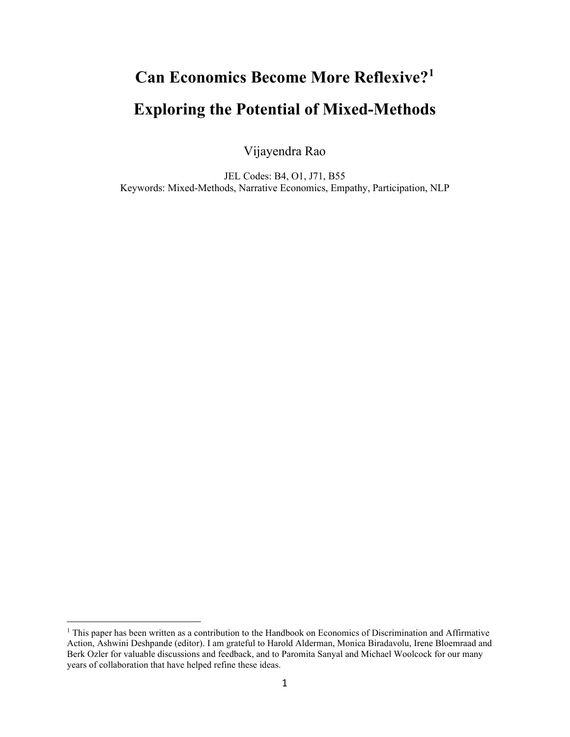# **Can Economics Become More Reflexive?[1](#page-2-0) Exploring the Potential of Mixed-Methods**

Vijayendra Rao

JEL Codes: B4, O1, J71, B55 Keywords: Mixed-Methods, Narrative Economics, Empathy, Participation, NLP

<span id="page-2-0"></span><sup>&</sup>lt;sup>1</sup> This paper has been written as a contribution to the Handbook on Economics of Discrimination and Affirmative Action, Ashwini Deshpande (editor). I am grateful to Harold Alderman, Monica Biradavolu, Irene Bloemraad and Berk Ozler for valuable discussions and feedback, and to Paromita Sanyal and Michael Woolcock for our many years of collaboration that have helped refine these ideas.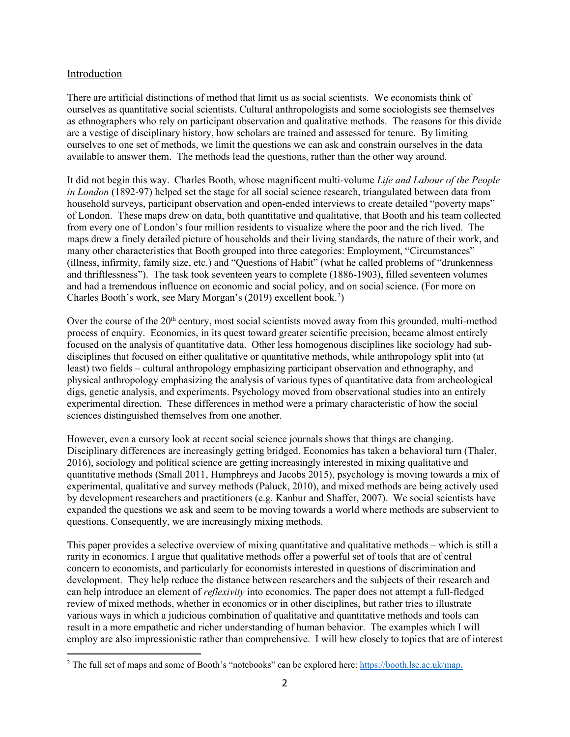# Introduction

There are artificial distinctions of method that limit us as social scientists. We economists think of ourselves as quantitative social scientists. Cultural anthropologists and some sociologists see themselves as ethnographers who rely on participant observation and qualitative methods. The reasons for this divide are a vestige of disciplinary history, how scholars are trained and assessed for tenure. By limiting ourselves to one set of methods, we limit the questions we can ask and constrain ourselves in the data available to answer them. The methods lead the questions, rather than the other way around.

It did not begin this way. Charles Booth, whose magnificent multi-volume *Life and Labour of the People in London* (1892-97) helped set the stage for all social science research, triangulated between data from household surveys, participant observation and open-ended interviews to create detailed "poverty maps" of London. These maps drew on data, both quantitative and qualitative, that Booth and his team collected from every one of London's four million residents to visualize where the poor and the rich lived. The maps drew a finely detailed picture of households and their living standards, the nature of their work, and many other characteristics that Booth grouped into three categories: Employment, "Circumstances" (illness, infirmity, family size, etc.) and "Questions of Habit" (what he called problems of "drunkenness and thriftlessness"). The task took seventeen years to complete (1886-1903), filled seventeen volumes and had a tremendous influence on economic and social policy, and on social science. (For more on Charles Booth's work, see Mary Morgan's ([2](#page-3-0)019) excellent book.<sup>2</sup>)

Over the course of the 20<sup>th</sup> century, most social scientists moved away from this grounded, multi-method process of enquiry. Economics, in its quest toward greater scientific precision, became almost entirely focused on the analysis of quantitative data. Other less homogenous disciplines like sociology had subdisciplines that focused on either qualitative or quantitative methods, while anthropology split into (at least) two fields – cultural anthropology emphasizing participant observation and ethnography, and physical anthropology emphasizing the analysis of various types of quantitative data from archeological digs, genetic analysis, and experiments. Psychology moved from observational studies into an entirely experimental direction. These differences in method were a primary characteristic of how the social sciences distinguished themselves from one another.

However, even a cursory look at recent social science journals shows that things are changing. Disciplinary differences are increasingly getting bridged. Economics has taken a behavioral turn (Thaler, 2016), sociology and political science are getting increasingly interested in mixing qualitative and quantitative methods (Small 2011, Humphreys and Jacobs 2015), psychology is moving towards a mix of experimental, qualitative and survey methods (Paluck, 2010), and mixed methods are being actively used by development researchers and practitioners (e.g. Kanbur and Shaffer, 2007). We social scientists have expanded the questions we ask and seem to be moving towards a world where methods are subservient to questions. Consequently, we are increasingly mixing methods.

This paper provides a selective overview of mixing quantitative and qualitative methods – which is still a rarity in economics. I argue that qualitative methods offer a powerful set of tools that are of central concern to economists, and particularly for economists interested in questions of discrimination and development. They help reduce the distance between researchers and the subjects of their research and can help introduce an element of *reflexivity* into economics. The paper does not attempt a full-fledged review of mixed methods, whether in economics or in other disciplines, but rather tries to illustrate various ways in which a judicious combination of qualitative and quantitative methods and tools can result in a more empathetic and richer understanding of human behavior. The examples which I will employ are also impressionistic rather than comprehensive. I will hew closely to topics that are of interest

<span id="page-3-0"></span><sup>&</sup>lt;sup>2</sup> The full set of maps and some of Booth's "notebooks" can be explored here[: https://booth.lse.ac.uk/map.](https://booth.lse.ac.uk/map)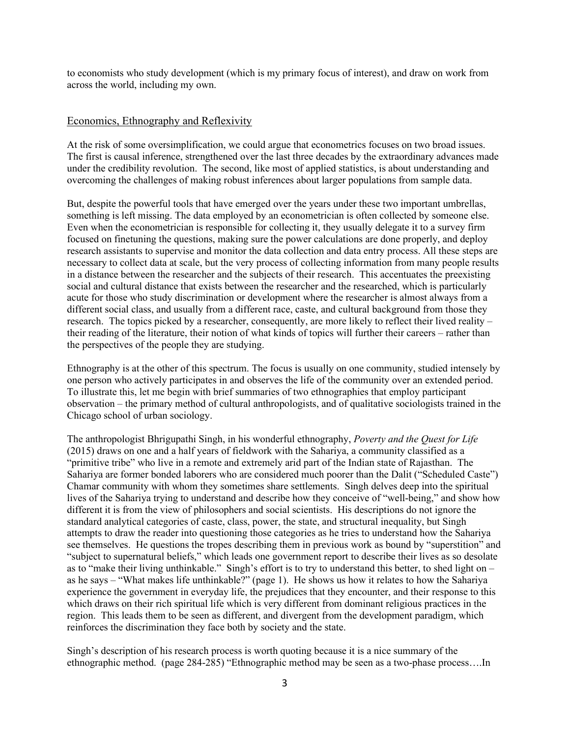to economists who study development (which is my primary focus of interest), and draw on work from across the world, including my own.

### Economics, Ethnography and Reflexivity

At the risk of some oversimplification, we could argue that econometrics focuses on two broad issues. The first is causal inference, strengthened over the last three decades by the extraordinary advances made under the credibility revolution. The second, like most of applied statistics, is about understanding and overcoming the challenges of making robust inferences about larger populations from sample data.

But, despite the powerful tools that have emerged over the years under these two important umbrellas, something is left missing. The data employed by an econometrician is often collected by someone else. Even when the econometrician is responsible for collecting it, they usually delegate it to a survey firm focused on finetuning the questions, making sure the power calculations are done properly, and deploy research assistants to supervise and monitor the data collection and data entry process. All these steps are necessary to collect data at scale, but the very process of collecting information from many people results in a distance between the researcher and the subjects of their research. This accentuates the preexisting social and cultural distance that exists between the researcher and the researched, which is particularly acute for those who study discrimination or development where the researcher is almost always from a different social class, and usually from a different race, caste, and cultural background from those they research. The topics picked by a researcher, consequently, are more likely to reflect their lived reality – their reading of the literature, their notion of what kinds of topics will further their careers – rather than the perspectives of the people they are studying.

Ethnography is at the other of this spectrum. The focus is usually on one community, studied intensely by one person who actively participates in and observes the life of the community over an extended period. To illustrate this, let me begin with brief summaries of two ethnographies that employ participant observation – the primary method of cultural anthropologists, and of qualitative sociologists trained in the Chicago school of urban sociology.

The anthropologist Bhrigupathi Singh, in his wonderful ethnography, *Poverty and the Quest for Life* (2015) draws on one and a half years of fieldwork with the Sahariya, a community classified as a "primitive tribe" who live in a remote and extremely arid part of the Indian state of Rajasthan. The Sahariya are former bonded laborers who are considered much poorer than the Dalit ("Scheduled Caste") Chamar community with whom they sometimes share settlements. Singh delves deep into the spiritual lives of the Sahariya trying to understand and describe how they conceive of "well-being," and show how different it is from the view of philosophers and social scientists. His descriptions do not ignore the standard analytical categories of caste, class, power, the state, and structural inequality, but Singh attempts to draw the reader into questioning those categories as he tries to understand how the Sahariya see themselves. He questions the tropes describing them in previous work as bound by "superstition" and "subject to supernatural beliefs," which leads one government report to describe their lives as so desolate as to "make their living unthinkable." Singh's effort is to try to understand this better, to shed light on – as he says – "What makes life unthinkable?" (page 1). He shows us how it relates to how the Sahariya experience the government in everyday life, the prejudices that they encounter, and their response to this which draws on their rich spiritual life which is very different from dominant religious practices in the region. This leads them to be seen as different, and divergent from the development paradigm, which reinforces the discrimination they face both by society and the state.

Singh's description of his research process is worth quoting because it is a nice summary of the ethnographic method. (page 284-285) "Ethnographic method may be seen as a two-phase process….In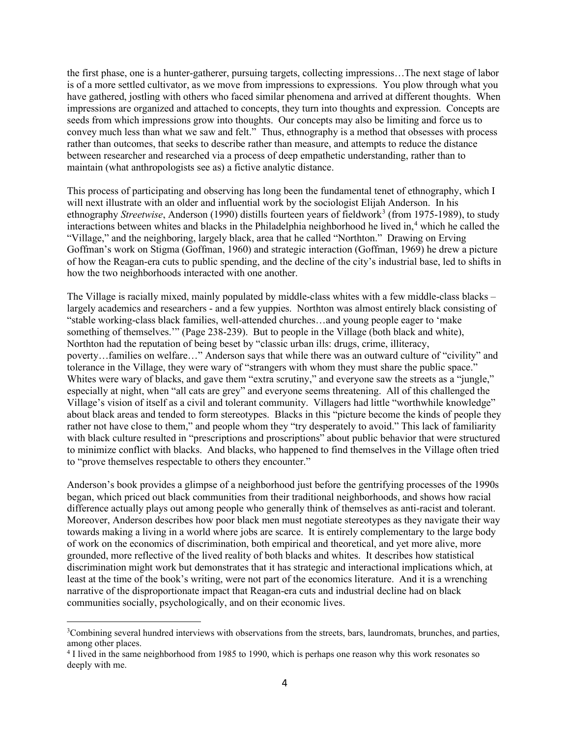the first phase, one is a hunter-gatherer, pursuing targets, collecting impressions…The next stage of labor is of a more settled cultivator, as we move from impressions to expressions. You plow through what you have gathered, jostling with others who faced similar phenomena and arrived at different thoughts. When impressions are organized and attached to concepts, they turn into thoughts and expression. Concepts are seeds from which impressions grow into thoughts. Our concepts may also be limiting and force us to convey much less than what we saw and felt." Thus, ethnography is a method that obsesses with process rather than outcomes, that seeks to describe rather than measure, and attempts to reduce the distance between researcher and researched via a process of deep empathetic understanding, rather than to maintain (what anthropologists see as) a fictive analytic distance.

This process of participating and observing has long been the fundamental tenet of ethnography, which I will next illustrate with an older and influential work by the sociologist Elijah Anderson. In his ethnography *Streetwise*, Anderson (1990) distills fourteen years of fieldwork<sup>[3](#page-5-0)</sup> (from 1975-1989), to study interactions between whites and blacks in the Philadelphia neighborhood he lived in, [4](#page-5-1) which he called the "Village," and the neighboring, largely black, area that he called "Northton." Drawing on Erving Goffman's work on Stigma (Goffman, 1960) and strategic interaction (Goffman, 1969) he drew a picture of how the Reagan-era cuts to public spending, and the decline of the city's industrial base, led to shifts in how the two neighborhoods interacted with one another.

The Village is racially mixed, mainly populated by middle-class whites with a few middle-class blacks – largely academics and researchers - and a few yuppies. Northton was almost entirely black consisting of "stable working-class black families, well-attended churches…and young people eager to 'make something of themselves.'" (Page 238-239). But to people in the Village (both black and white), Northton had the reputation of being beset by "classic urban ills: drugs, crime, illiteracy, poverty…families on welfare…" Anderson says that while there was an outward culture of "civility" and tolerance in the Village, they were wary of "strangers with whom they must share the public space." Whites were wary of blacks, and gave them "extra scrutiny," and everyone saw the streets as a "jungle," especially at night, when "all cats are grey" and everyone seems threatening. All of this challenged the Village's vision of itself as a civil and tolerant community. Villagers had little "worthwhile knowledge" about black areas and tended to form stereotypes. Blacks in this "picture become the kinds of people they rather not have close to them," and people whom they "try desperately to avoid." This lack of familiarity with black culture resulted in "prescriptions and proscriptions" about public behavior that were structured to minimize conflict with blacks. And blacks, who happened to find themselves in the Village often tried to "prove themselves respectable to others they encounter."

Anderson's book provides a glimpse of a neighborhood just before the gentrifying processes of the 1990s began, which priced out black communities from their traditional neighborhoods, and shows how racial difference actually plays out among people who generally think of themselves as anti-racist and tolerant. Moreover, Anderson describes how poor black men must negotiate stereotypes as they navigate their way towards making a living in a world where jobs are scarce. It is entirely complementary to the large body of work on the economics of discrimination, both empirical and theoretical, and yet more alive, more grounded, more reflective of the lived reality of both blacks and whites. It describes how statistical discrimination might work but demonstrates that it has strategic and interactional implications which, at least at the time of the book's writing, were not part of the economics literature. And it is a wrenching narrative of the disproportionate impact that Reagan-era cuts and industrial decline had on black communities socially, psychologically, and on their economic lives.

<span id="page-5-0"></span><sup>&</sup>lt;sup>3</sup>Combining several hundred interviews with observations from the streets, bars, laundromats, brunches, and parties, among other places.

<span id="page-5-1"></span><sup>4</sup> I lived in the same neighborhood from 1985 to 1990, which is perhaps one reason why this work resonates so deeply with me.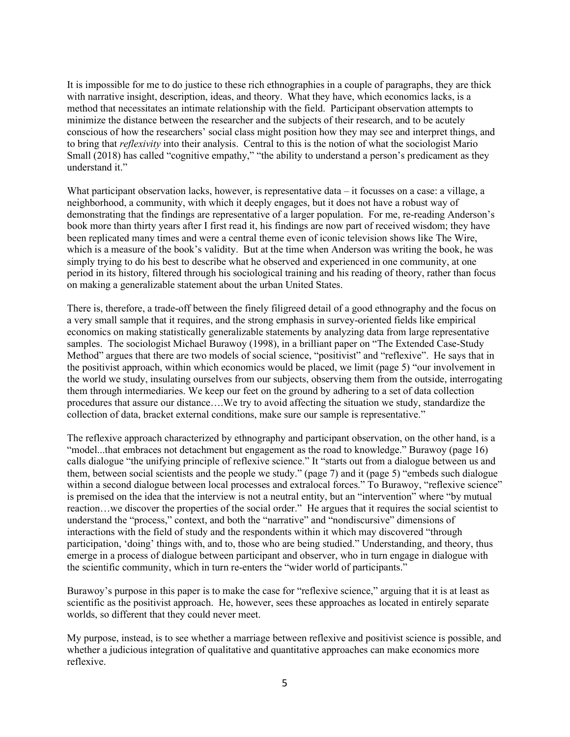It is impossible for me to do justice to these rich ethnographies in a couple of paragraphs, they are thick with narrative insight, description, ideas, and theory. What they have, which economics lacks, is a method that necessitates an intimate relationship with the field. Participant observation attempts to minimize the distance between the researcher and the subjects of their research, and to be acutely conscious of how the researchers' social class might position how they may see and interpret things, and to bring that *reflexivity* into their analysis. Central to this is the notion of what the sociologist Mario Small (2018) has called "cognitive empathy," "the ability to understand a person's predicament as they understand it."

What participant observation lacks, however, is representative data – it focusses on a case: a village, a neighborhood, a community, with which it deeply engages, but it does not have a robust way of demonstrating that the findings are representative of a larger population. For me, re-reading Anderson's book more than thirty years after I first read it, his findings are now part of received wisdom; they have been replicated many times and were a central theme even of iconic television shows like The Wire, which is a measure of the book's validity. But at the time when Anderson was writing the book, he was simply trying to do his best to describe what he observed and experienced in one community, at one period in its history, filtered through his sociological training and his reading of theory, rather than focus on making a generalizable statement about the urban United States.

There is, therefore, a trade-off between the finely filigreed detail of a good ethnography and the focus on a very small sample that it requires, and the strong emphasis in survey-oriented fields like empirical economics on making statistically generalizable statements by analyzing data from large representative samples. The sociologist Michael Burawoy (1998), in a brilliant paper on "The Extended Case-Study Method" argues that there are two models of social science, "positivist" and "reflexive". He says that in the positivist approach, within which economics would be placed, we limit (page 5) "our involvement in the world we study, insulating ourselves from our subjects, observing them from the outside, interrogating them through intermediaries. We keep our feet on the ground by adhering to a set of data collection procedures that assure our distance….We try to avoid affecting the situation we study, standardize the collection of data, bracket external conditions, make sure our sample is representative."

The reflexive approach characterized by ethnography and participant observation, on the other hand, is a "model...that embraces not detachment but engagement as the road to knowledge." Burawoy (page 16) calls dialogue "the unifying principle of reflexive science." It "starts out from a dialogue between us and them, between social scientists and the people we study." (page 7) and it (page 5) "embeds such dialogue within a second dialogue between local processes and extralocal forces." To Burawoy, "reflexive science" is premised on the idea that the interview is not a neutral entity, but an "intervention" where "by mutual reaction…we discover the properties of the social order." He argues that it requires the social scientist to understand the "process," context, and both the "narrative" and "nondiscursive" dimensions of interactions with the field of study and the respondents within it which may discovered "through participation, 'doing' things with, and to, those who are being studied." Understanding, and theory, thus emerge in a process of dialogue between participant and observer, who in turn engage in dialogue with the scientific community, which in turn re-enters the "wider world of participants."

Burawoy's purpose in this paper is to make the case for "reflexive science," arguing that it is at least as scientific as the positivist approach. He, however, sees these approaches as located in entirely separate worlds, so different that they could never meet.

My purpose, instead, is to see whether a marriage between reflexive and positivist science is possible, and whether a judicious integration of qualitative and quantitative approaches can make economics more reflexive.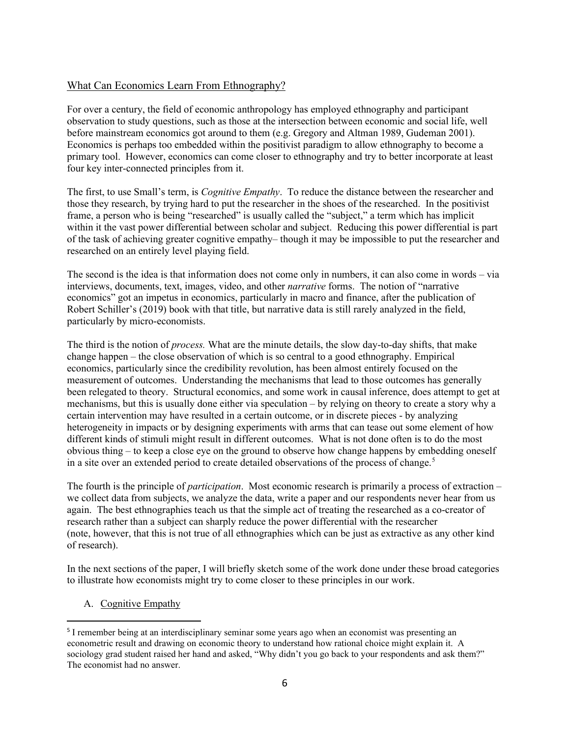# What Can Economics Learn From Ethnography?

For over a century, the field of economic anthropology has employed ethnography and participant observation to study questions, such as those at the intersection between economic and social life, well before mainstream economics got around to them (e.g. Gregory and Altman 1989, Gudeman 2001). Economics is perhaps too embedded within the positivist paradigm to allow ethnography to become a primary tool. However, economics can come closer to ethnography and try to better incorporate at least four key inter-connected principles from it.

The first, to use Small's term, is *Cognitive Empathy*. To reduce the distance between the researcher and those they research, by trying hard to put the researcher in the shoes of the researched. In the positivist frame, a person who is being "researched" is usually called the "subject," a term which has implicit within it the vast power differential between scholar and subject. Reducing this power differential is part of the task of achieving greater cognitive empathy– though it may be impossible to put the researcher and researched on an entirely level playing field.

The second is the idea is that information does not come only in numbers, it can also come in words – via interviews, documents, text, images, video, and other *narrative* forms. The notion of "narrative economics" got an impetus in economics, particularly in macro and finance, after the publication of Robert Schiller's (2019) book with that title, but narrative data is still rarely analyzed in the field, particularly by micro-economists.

The third is the notion of *process.* What are the minute details, the slow day-to-day shifts, that make change happen – the close observation of which is so central to a good ethnography. Empirical economics, particularly since the credibility revolution, has been almost entirely focused on the measurement of outcomes. Understanding the mechanisms that lead to those outcomes has generally been relegated to theory. Structural economics, and some work in causal inference, does attempt to get at mechanisms, but this is usually done either via speculation – by relying on theory to create a story why a certain intervention may have resulted in a certain outcome, or in discrete pieces - by analyzing heterogeneity in impacts or by designing experiments with arms that can tease out some element of how different kinds of stimuli might result in different outcomes. What is not done often is to do the most obvious thing – to keep a close eye on the ground to observe how change happens by embedding oneself in a site over an extended period to create detailed observations of the process of change. [5](#page-7-0)

The fourth is the principle of *participation*. Most economic research is primarily a process of extraction – we collect data from subjects, we analyze the data, write a paper and our respondents never hear from us again. The best ethnographies teach us that the simple act of treating the researched as a co-creator of research rather than a subject can sharply reduce the power differential with the researcher (note, however, that this is not true of all ethnographies which can be just as extractive as any other kind of research).

In the next sections of the paper, I will briefly sketch some of the work done under these broad categories to illustrate how economists might try to come closer to these principles in our work.

A. Cognitive Empathy

<span id="page-7-0"></span><sup>5</sup> I remember being at an interdisciplinary seminar some years ago when an economist was presenting an econometric result and drawing on economic theory to understand how rational choice might explain it. A sociology grad student raised her hand and asked, "Why didn't you go back to your respondents and ask them?" The economist had no answer.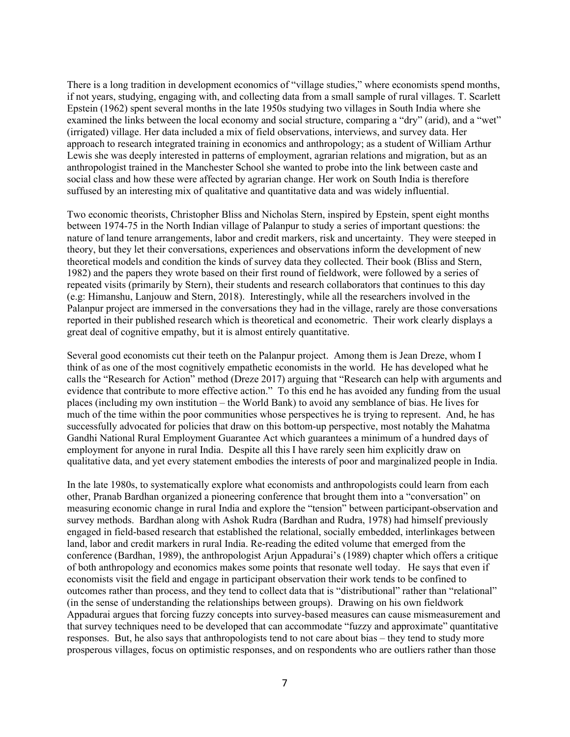There is a long tradition in development economics of "village studies," where economists spend months, if not years, studying, engaging with, and collecting data from a small sample of rural villages. T. Scarlett Epstein (1962) spent several months in the late 1950s studying two villages in South India where she examined the links between the local economy and social structure, comparing a "dry" (arid), and a "wet" (irrigated) village. Her data included a mix of field observations, interviews, and survey data. Her approach to research integrated training in economics and anthropology; as a student of William Arthur Lewis she was deeply interested in patterns of employment, agrarian relations and migration, but as an anthropologist trained in the Manchester School she wanted to probe into the link between caste and social class and how these were affected by agrarian change. Her work on South India is therefore suffused by an interesting mix of qualitative and quantitative data and was widely influential.

Two economic theorists, Christopher Bliss and Nicholas Stern, inspired by Epstein, spent eight months between 1974-75 in the North Indian village of Palanpur to study a series of important questions: the nature of land tenure arrangements, labor and credit markers, risk and uncertainty. They were steeped in theory, but they let their conversations, experiences and observations inform the development of new theoretical models and condition the kinds of survey data they collected. Their book (Bliss and Stern, 1982) and the papers they wrote based on their first round of fieldwork, were followed by a series of repeated visits (primarily by Stern), their students and research collaborators that continues to this day (e.g: Himanshu, Lanjouw and Stern, 2018). Interestingly, while all the researchers involved in the Palanpur project are immersed in the conversations they had in the village, rarely are those conversations reported in their published research which is theoretical and econometric. Their work clearly displays a great deal of cognitive empathy, but it is almost entirely quantitative.

Several good economists cut their teeth on the Palanpur project. Among them is Jean Dreze, whom I think of as one of the most cognitively empathetic economists in the world. He has developed what he calls the "Research for Action" method (Dreze 2017) arguing that "Research can help with arguments and evidence that contribute to more effective action." To this end he has avoided any funding from the usual places (including my own institution – the World Bank) to avoid any semblance of bias. He lives for much of the time within the poor communities whose perspectives he is trying to represent. And, he has successfully advocated for policies that draw on this bottom-up perspective, most notably the Mahatma Gandhi National Rural Employment Guarantee Act which guarantees a minimum of a hundred days of employment for anyone in rural India. Despite all this I have rarely seen him explicitly draw on qualitative data, and yet every statement embodies the interests of poor and marginalized people in India.

In the late 1980s, to systematically explore what economists and anthropologists could learn from each other, Pranab Bardhan organized a pioneering conference that brought them into a "conversation" on measuring economic change in rural India and explore the "tension" between participant-observation and survey methods. Bardhan along with Ashok Rudra (Bardhan and Rudra, 1978) had himself previously engaged in field-based research that established the relational, socially embedded, interlinkages between land, labor and credit markers in rural India. Re-reading the edited volume that emerged from the conference (Bardhan, 1989), the anthropologist Arjun Appadurai's (1989) chapter which offers a critique of both anthropology and economics makes some points that resonate well today. He says that even if economists visit the field and engage in participant observation their work tends to be confined to outcomes rather than process, and they tend to collect data that is "distributional" rather than "relational" (in the sense of understanding the relationships between groups). Drawing on his own fieldwork Appadurai argues that forcing fuzzy concepts into survey-based measures can cause mismeasurement and that survey techniques need to be developed that can accommodate "fuzzy and approximate" quantitative responses. But, he also says that anthropologists tend to not care about bias – they tend to study more prosperous villages, focus on optimistic responses, and on respondents who are outliers rather than those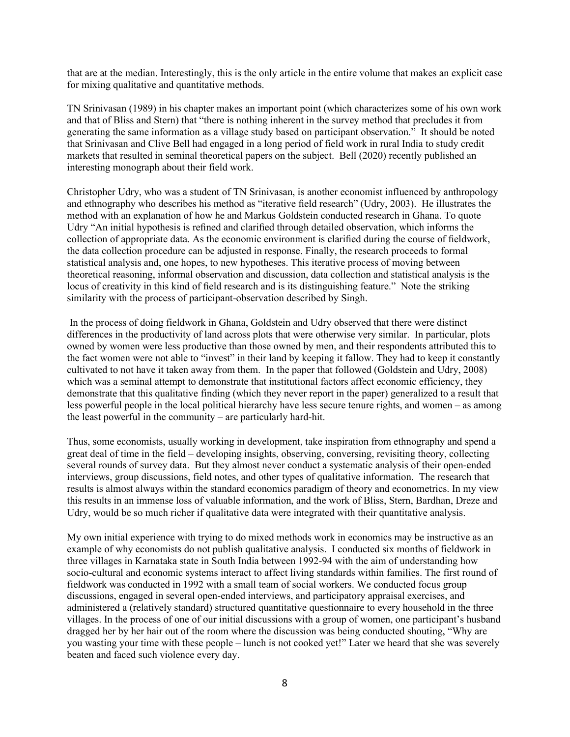that are at the median. Interestingly, this is the only article in the entire volume that makes an explicit case for mixing qualitative and quantitative methods.

TN Srinivasan (1989) in his chapter makes an important point (which characterizes some of his own work and that of Bliss and Stern) that "there is nothing inherent in the survey method that precludes it from generating the same information as a village study based on participant observation." It should be noted that Srinivasan and Clive Bell had engaged in a long period of field work in rural India to study credit markets that resulted in seminal theoretical papers on the subject. Bell (2020) recently published an interesting monograph about their field work.

Christopher Udry, who was a student of TN Srinivasan, is another economist influenced by anthropology and ethnography who describes his method as "iterative field research" (Udry, 2003). He illustrates the method with an explanation of how he and Markus Goldstein conducted research in Ghana. To quote Udry "An initial hypothesis is refined and clarified through detailed observation, which informs the collection of appropriate data. As the economic environment is clarified during the course of fieldwork, the data collection procedure can be adjusted in response. Finally, the research proceeds to formal statistical analysis and, one hopes, to new hypotheses. This iterative process of moving between theoretical reasoning, informal observation and discussion, data collection and statistical analysis is the locus of creativity in this kind of field research and is its distinguishing feature." Note the striking similarity with the process of participant-observation described by Singh.

In the process of doing fieldwork in Ghana, Goldstein and Udry observed that there were distinct differences in the productivity of land across plots that were otherwise very similar. In particular, plots owned by women were less productive than those owned by men, and their respondents attributed this to the fact women were not able to "invest" in their land by keeping it fallow. They had to keep it constantly cultivated to not have it taken away from them. In the paper that followed (Goldstein and Udry, 2008) which was a seminal attempt to demonstrate that institutional factors affect economic efficiency, they demonstrate that this qualitative finding (which they never report in the paper) generalized to a result that less powerful people in the local political hierarchy have less secure tenure rights, and women – as among the least powerful in the community – are particularly hard-hit.

Thus, some economists, usually working in development, take inspiration from ethnography and spend a great deal of time in the field – developing insights, observing, conversing, revisiting theory, collecting several rounds of survey data. But they almost never conduct a systematic analysis of their open-ended interviews, group discussions, field notes, and other types of qualitative information. The research that results is almost always within the standard economics paradigm of theory and econometrics. In my view this results in an immense loss of valuable information, and the work of Bliss, Stern, Bardhan, Dreze and Udry, would be so much richer if qualitative data were integrated with their quantitative analysis.

My own initial experience with trying to do mixed methods work in economics may be instructive as an example of why economists do not publish qualitative analysis. I conducted six months of fieldwork in three villages in Karnataka state in South India between 1992-94 with the aim of understanding how socio-cultural and economic systems interact to affect living standards within families. The first round of fieldwork was conducted in 1992 with a small team of social workers. We conducted focus group discussions, engaged in several open-ended interviews, and participatory appraisal exercises, and administered a (relatively standard) structured quantitative questionnaire to every household in the three villages. In the process of one of our initial discussions with a group of women, one participant's husband dragged her by her hair out of the room where the discussion was being conducted shouting, "Why are you wasting your time with these people – lunch is not cooked yet!" Later we heard that she was severely beaten and faced such violence every day.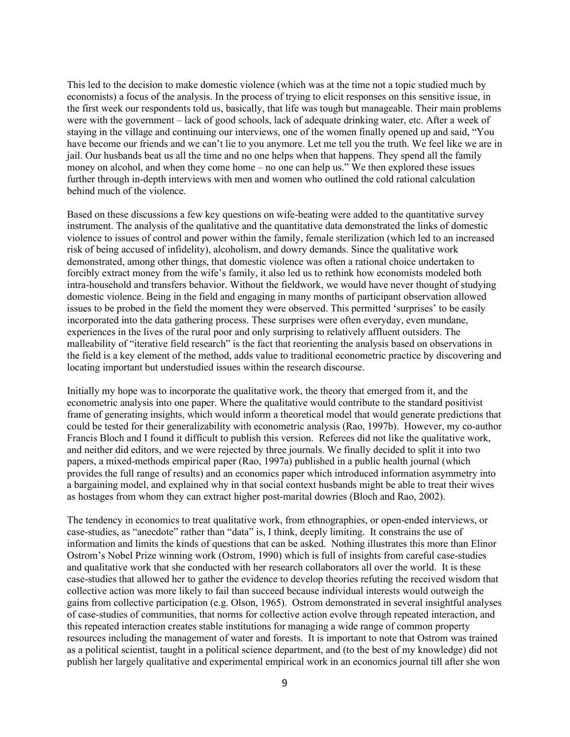This led to the decision to make domestic violence (which was at the time not a topic studied much by economists) a focus of the analysis. In the process of trying to elicit responses on this sensitive issue, in the first week our respondents told us, basically, that life was tough but manageable. Their main problems were with the government – lack of good schools, lack of adequate drinking water, etc. After a week of staying in the village and continuing our interviews, one of the women finally opened up and said, "You have become our friends and we can't lie to you anymore. Let me tell you the truth. We feel like we are in jail. Our husbands beat us all the time and no one helps when that happens. They spend all the family money on alcohol, and when they come home – no one can help us." We then explored these issues further through in-depth interviews with men and women who outlined the cold rational calculation behind much of the violence.

Based on these discussions a few key questions on wife-beating were added to the quantitative survey instrument. The analysis of the qualitative and the quantitative data demonstrated the links of domestic violence to issues of control and power within the family, female sterilization (which led to an increased risk of being accused of infidelity), alcoholism, and dowry demands. Since the qualitative work demonstrated, among other things, that domestic violence was often a rational choice undertaken to forcibly extract money from the wife's family, it also led us to rethink how economists modeled both intra-household and transfers behavior. Without the fieldwork, we would have never thought of studying domestic violence. Being in the field and engaging in many months of participant observation allowed issues to be probed in the field the moment they were observed. This permitted 'surprises' to be easily incorporated into the data gathering process. These surprises were often everyday, even mundane, experiences in the lives of the rural poor and only surprising to relatively affluent outsiders. The malleability of "iterative field research" is the fact that reorienting the analysis based on observations in the field is a key element of the method, adds value to traditional econometric practice by discovering and locating important but understudied issues within the research discourse.

Initially my hope was to incorporate the qualitative work, the theory that emerged from it, and the econometric analysis into one paper. Where the qualitative would contribute to the standard positivist frame of generating insights, which would inform a theoretical model that would generate predictions that could be tested for their generalizability with econometric analysis (Rao, 1997b). However, my co-author Francis Bloch and I found it difficult to publish this version. Referees did not like the qualitative work, and neither did editors, and we were rejected by three journals. We finally decided to split it into two papers, a mixed-methods empirical paper (Rao, 1997a) published in a public health journal (which provides the full range of results) and an economics paper which introduced information asymmetry into a bargaining model, and explained why in that social context husbands might be able to treat their wives as hostages from whom they can extract higher post-marital dowries (Bloch and Rao, 2002).

The tendency in economics to treat qualitative work, from ethnographies, or open-ended interviews, or case-studies, as "anecdote" rather than "data" is, I think, deeply limiting. It constrains the use of information and limits the kinds of questions that can be asked. Nothing illustrates this more than Elinor Ostrom's Nobel Prize winning work (Ostrom, 1990) which is full of insights from careful case-studies and qualitative work that she conducted with her research collaborators all over the world. It is these case-studies that allowed her to gather the evidence to develop theories refuting the received wisdom that collective action was more likely to fail than succeed because individual interests would outweigh the gains from collective participation (e.g. Olson, 1965). Ostrom demonstrated in several insightful analyses of case-studies of communities, that norms for collective action evolve through repeated interaction, and this repeated interaction creates stable institutions for managing a wide range of common property resources including the management of water and forests. It is important to note that Ostrom was trained as a political scientist, taught in a political science department, and (to the best of my knowledge) did not publish her largely qualitative and experimental empirical work in an economics journal till after she won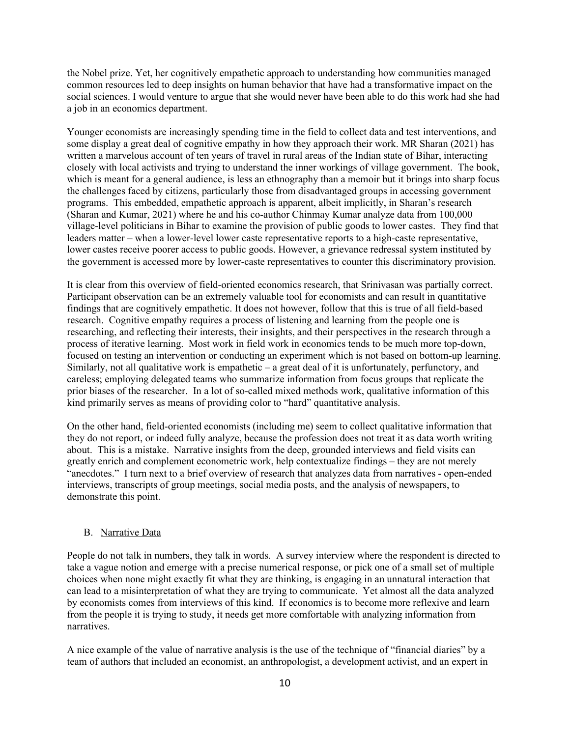the Nobel prize. Yet, her cognitively empathetic approach to understanding how communities managed common resources led to deep insights on human behavior that have had a transformative impact on the social sciences. I would venture to argue that she would never have been able to do this work had she had a job in an economics department.

Younger economists are increasingly spending time in the field to collect data and test interventions, and some display a great deal of cognitive empathy in how they approach their work. MR Sharan (2021) has written a marvelous account of ten years of travel in rural areas of the Indian state of Bihar, interacting closely with local activists and trying to understand the inner workings of village government. The book, which is meant for a general audience, is less an ethnography than a memoir but it brings into sharp focus the challenges faced by citizens, particularly those from disadvantaged groups in accessing government programs. This embedded, empathetic approach is apparent, albeit implicitly, in Sharan's research (Sharan and Kumar, 2021) where he and his co-author Chinmay Kumar analyze data from 100,000 village-level politicians in Bihar to examine the provision of public goods to lower castes. They find that leaders matter – when a lower-level lower caste representative reports to a high-caste representative, lower castes receive poorer access to public goods. However, a grievance redressal system instituted by the government is accessed more by lower-caste representatives to counter this discriminatory provision.

It is clear from this overview of field-oriented economics research, that Srinivasan was partially correct. Participant observation can be an extremely valuable tool for economists and can result in quantitative findings that are cognitively empathetic. It does not however, follow that this is true of all field-based research. Cognitive empathy requires a process of listening and learning from the people one is researching, and reflecting their interests, their insights, and their perspectives in the research through a process of iterative learning. Most work in field work in economics tends to be much more top-down, focused on testing an intervention or conducting an experiment which is not based on bottom-up learning. Similarly, not all qualitative work is empathetic – a great deal of it is unfortunately, perfunctory, and careless; employing delegated teams who summarize information from focus groups that replicate the prior biases of the researcher. In a lot of so-called mixed methods work, qualitative information of this kind primarily serves as means of providing color to "hard" quantitative analysis.

On the other hand, field-oriented economists (including me) seem to collect qualitative information that they do not report, or indeed fully analyze, because the profession does not treat it as data worth writing about. This is a mistake. Narrative insights from the deep, grounded interviews and field visits can greatly enrich and complement econometric work, help contextualize findings – they are not merely "anecdotes." I turn next to a brief overview of research that analyzes data from narratives - open-ended interviews, transcripts of group meetings, social media posts, and the analysis of newspapers, to demonstrate this point.

### B. Narrative Data

People do not talk in numbers, they talk in words. A survey interview where the respondent is directed to take a vague notion and emerge with a precise numerical response, or pick one of a small set of multiple choices when none might exactly fit what they are thinking, is engaging in an unnatural interaction that can lead to a misinterpretation of what they are trying to communicate. Yet almost all the data analyzed by economists comes from interviews of this kind. If economics is to become more reflexive and learn from the people it is trying to study, it needs get more comfortable with analyzing information from narratives.

A nice example of the value of narrative analysis is the use of the technique of "financial diaries" by a team of authors that included an economist, an anthropologist, a development activist, and an expert in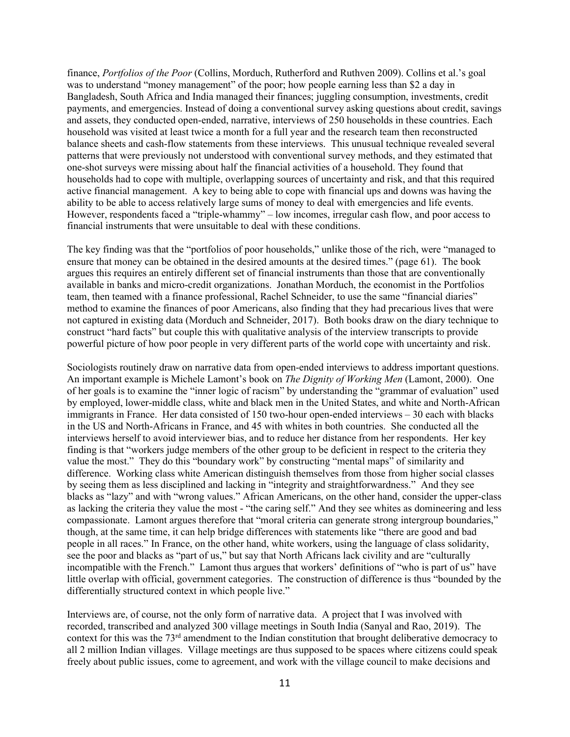finance, *Portfolios of the Poor* (Collins, Morduch, Rutherford and Ruthven 2009). Collins et al.'s goal was to understand "money management" of the poor; how people earning less than \$2 a day in Bangladesh, South Africa and India managed their finances; juggling consumption, investments, credit payments, and emergencies. Instead of doing a conventional survey asking questions about credit, savings and assets, they conducted open-ended, narrative, interviews of 250 households in these countries. Each household was visited at least twice a month for a full year and the research team then reconstructed balance sheets and cash-flow statements from these interviews. This unusual technique revealed several patterns that were previously not understood with conventional survey methods, and they estimated that one-shot surveys were missing about half the financial activities of a household. They found that households had to cope with multiple, overlapping sources of uncertainty and risk, and that this required active financial management. A key to being able to cope with financial ups and downs was having the ability to be able to access relatively large sums of money to deal with emergencies and life events. However, respondents faced a "triple-whammy" – low incomes, irregular cash flow, and poor access to financial instruments that were unsuitable to deal with these conditions.

The key finding was that the "portfolios of poor households," unlike those of the rich, were "managed to ensure that money can be obtained in the desired amounts at the desired times." (page 61). The book argues this requires an entirely different set of financial instruments than those that are conventionally available in banks and micro-credit organizations. Jonathan Morduch, the economist in the Portfolios team, then teamed with a finance professional, Rachel Schneider, to use the same "financial diaries" method to examine the finances of poor Americans, also finding that they had precarious lives that were not captured in existing data (Morduch and Schneider, 2017). Both books draw on the diary technique to construct "hard facts" but couple this with qualitative analysis of the interview transcripts to provide powerful picture of how poor people in very different parts of the world cope with uncertainty and risk.

Sociologists routinely draw on narrative data from open-ended interviews to address important questions. An important example is Michele Lamont's book on *The Dignity of Working Men* (Lamont, 2000). One of her goals is to examine the "inner logic of racism" by understanding the "grammar of evaluation" used by employed, lower-middle class, white and black men in the United States, and white and North-African immigrants in France. Her data consisted of 150 two-hour open-ended interviews – 30 each with blacks in the US and North-Africans in France, and 45 with whites in both countries. She conducted all the interviews herself to avoid interviewer bias, and to reduce her distance from her respondents. Her key finding is that "workers judge members of the other group to be deficient in respect to the criteria they value the most." They do this "boundary work" by constructing "mental maps" of similarity and difference. Working class white American distinguish themselves from those from higher social classes by seeing them as less disciplined and lacking in "integrity and straightforwardness." And they see blacks as "lazy" and with "wrong values." African Americans, on the other hand, consider the upper-class as lacking the criteria they value the most - "the caring self." And they see whites as domineering and less compassionate. Lamont argues therefore that "moral criteria can generate strong intergroup boundaries," though, at the same time, it can help bridge differences with statements like "there are good and bad people in all races." In France, on the other hand, white workers, using the language of class solidarity, see the poor and blacks as "part of us," but say that North Africans lack civility and are "culturally incompatible with the French." Lamont thus argues that workers' definitions of "who is part of us" have little overlap with official, government categories. The construction of difference is thus "bounded by the differentially structured context in which people live."

Interviews are, of course, not the only form of narrative data. A project that I was involved with recorded, transcribed and analyzed 300 village meetings in South India (Sanyal and Rao, 2019). The context for this was the 73rd amendment to the Indian constitution that brought deliberative democracy to all 2 million Indian villages. Village meetings are thus supposed to be spaces where citizens could speak freely about public issues, come to agreement, and work with the village council to make decisions and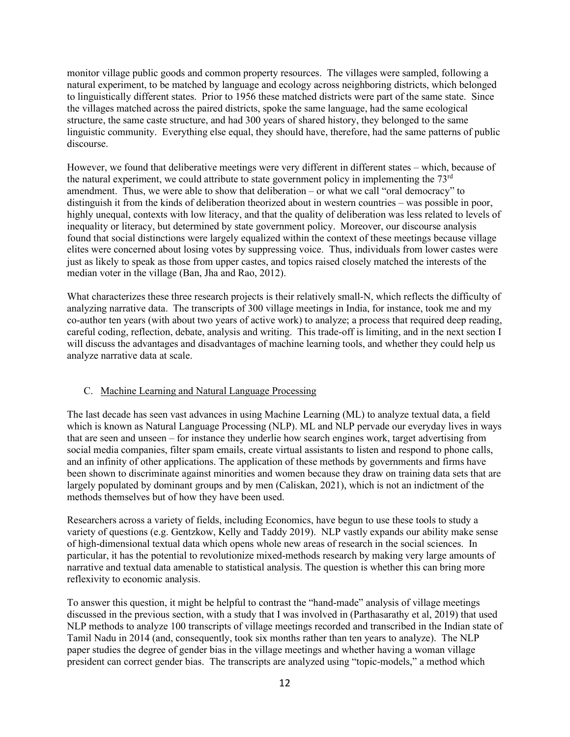monitor village public goods and common property resources. The villages were sampled, following a natural experiment, to be matched by language and ecology across neighboring districts, which belonged to linguistically different states. Prior to 1956 these matched districts were part of the same state. Since the villages matched across the paired districts, spoke the same language, had the same ecological structure, the same caste structure, and had 300 years of shared history, they belonged to the same linguistic community. Everything else equal, they should have, therefore, had the same patterns of public discourse.

However, we found that deliberative meetings were very different in different states – which, because of the natural experiment, we could attribute to state government policy in implementing the  $73<sup>rd</sup>$ amendment. Thus, we were able to show that deliberation – or what we call "oral democracy" to distinguish it from the kinds of deliberation theorized about in western countries – was possible in poor, highly unequal, contexts with low literacy, and that the quality of deliberation was less related to levels of inequality or literacy, but determined by state government policy. Moreover, our discourse analysis found that social distinctions were largely equalized within the context of these meetings because village elites were concerned about losing votes by suppressing voice. Thus, individuals from lower castes were just as likely to speak as those from upper castes, and topics raised closely matched the interests of the median voter in the village (Ban, Jha and Rao, 2012).

What characterizes these three research projects is their relatively small-N, which reflects the difficulty of analyzing narrative data. The transcripts of 300 village meetings in India, for instance, took me and my co-author ten years (with about two years of active work) to analyze; a process that required deep reading, careful coding, reflection, debate, analysis and writing. This trade-off is limiting, and in the next section I will discuss the advantages and disadvantages of machine learning tools, and whether they could help us analyze narrative data at scale.

# C. Machine Learning and Natural Language Processing

The last decade has seen vast advances in using Machine Learning (ML) to analyze textual data, a field which is known as Natural Language Processing (NLP). ML and NLP pervade our everyday lives in ways that are seen and unseen – for instance they underlie how search engines work, target advertising from social media companies, filter spam emails, create virtual assistants to listen and respond to phone calls, and an infinity of other applications. The application of these methods by governments and firms have been shown to discriminate against minorities and women because they draw on training data sets that are largely populated by dominant groups and by men (Caliskan, 2021), which is not an indictment of the methods themselves but of how they have been used.

Researchers across a variety of fields, including Economics, have begun to use these tools to study a variety of questions (e.g. Gentzkow, Kelly and Taddy 2019). NLP vastly expands our ability make sense of high-dimensional textual data which opens whole new areas of research in the social sciences. In particular, it has the potential to revolutionize mixed-methods research by making very large amounts of narrative and textual data amenable to statistical analysis. The question is whether this can bring more reflexivity to economic analysis.

To answer this question, it might be helpful to contrast the "hand-made" analysis of village meetings discussed in the previous section, with a study that I was involved in (Parthasarathy et al, 2019) that used NLP methods to analyze 100 transcripts of village meetings recorded and transcribed in the Indian state of Tamil Nadu in 2014 (and, consequently, took six months rather than ten years to analyze). The NLP paper studies the degree of gender bias in the village meetings and whether having a woman village president can correct gender bias. The transcripts are analyzed using "topic-models," a method which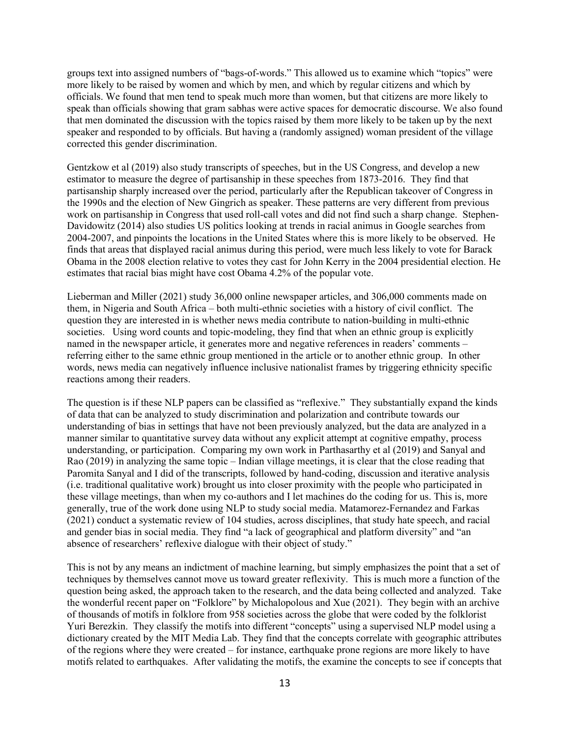groups text into assigned numbers of "bags-of-words." This allowed us to examine which "topics" were more likely to be raised by women and which by men, and which by regular citizens and which by officials. We found that men tend to speak much more than women, but that citizens are more likely to speak than officials showing that gram sabhas were active spaces for democratic discourse. We also found that men dominated the discussion with the topics raised by them more likely to be taken up by the next speaker and responded to by officials. But having a (randomly assigned) woman president of the village corrected this gender discrimination.

Gentzkow et al (2019) also study transcripts of speeches, but in the US Congress, and develop a new estimator to measure the degree of partisanship in these speeches from 1873-2016. They find that partisanship sharply increased over the period, particularly after the Republican takeover of Congress in the 1990s and the election of New Gingrich as speaker. These patterns are very different from previous work on partisanship in Congress that used roll-call votes and did not find such a sharp change. Stephen-Davidowitz (2014) also studies US politics looking at trends in racial animus in Google searches from 2004-2007, and pinpoints the locations in the United States where this is more likely to be observed. He finds that areas that displayed racial animus during this period, were much less likely to vote for Barack Obama in the 2008 election relative to votes they cast for John Kerry in the 2004 presidential election. He estimates that racial bias might have cost Obama 4.2% of the popular vote.

Lieberman and Miller (2021) study 36,000 online newspaper articles, and 306,000 comments made on them, in Nigeria and South Africa – both multi-ethnic societies with a history of civil conflict. The question they are interested in is whether news media contribute to nation-building in multi-ethnic societies. Using word counts and topic-modeling, they find that when an ethnic group is explicitly named in the newspaper article, it generates more and negative references in readers' comments – referring either to the same ethnic group mentioned in the article or to another ethnic group. In other words, news media can negatively influence inclusive nationalist frames by triggering ethnicity specific reactions among their readers.

The question is if these NLP papers can be classified as "reflexive." They substantially expand the kinds of data that can be analyzed to study discrimination and polarization and contribute towards our understanding of bias in settings that have not been previously analyzed, but the data are analyzed in a manner similar to quantitative survey data without any explicit attempt at cognitive empathy, process understanding, or participation. Comparing my own work in Parthasarthy et al (2019) and Sanyal and Rao (2019) in analyzing the same topic – Indian village meetings, it is clear that the close reading that Paromita Sanyal and I did of the transcripts, followed by hand-coding, discussion and iterative analysis (i.e. traditional qualitative work) brought us into closer proximity with the people who participated in these village meetings, than when my co-authors and I let machines do the coding for us. This is, more generally, true of the work done using NLP to study social media. Matamorez-Fernandez and Farkas (2021) conduct a systematic review of 104 studies, across disciplines, that study hate speech, and racial and gender bias in social media. They find "a lack of geographical and platform diversity" and "an absence of researchers' reflexive dialogue with their object of study."

This is not by any means an indictment of machine learning, but simply emphasizes the point that a set of techniques by themselves cannot move us toward greater reflexivity. This is much more a function of the question being asked, the approach taken to the research, and the data being collected and analyzed. Take the wonderful recent paper on "Folklore" by Michalopolous and Xue (2021). They begin with an archive of thousands of motifs in folklore from 958 societies across the globe that were coded by the folklorist Yuri Berezkin. They classify the motifs into different "concepts" using a supervised NLP model using a dictionary created by the MIT Media Lab. They find that the concepts correlate with geographic attributes of the regions where they were created – for instance, earthquake prone regions are more likely to have motifs related to earthquakes. After validating the motifs, the examine the concepts to see if concepts that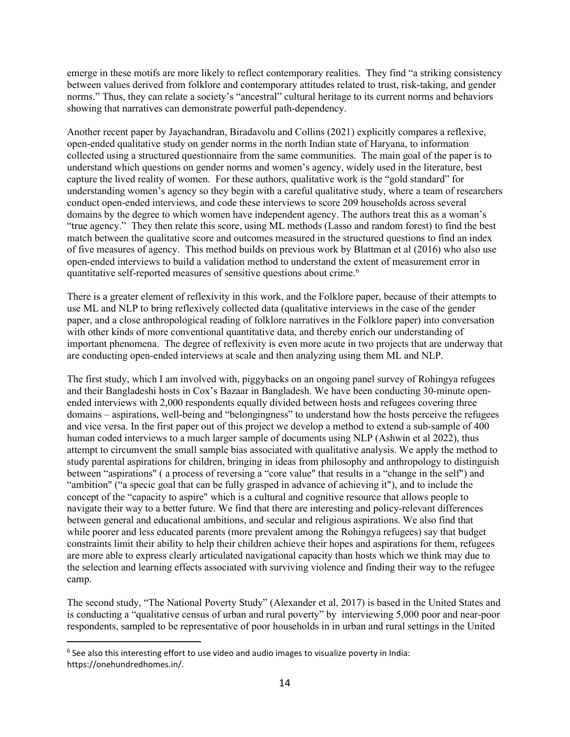emerge in these motifs are more likely to reflect contemporary realities. They find "a striking consistency between values derived from folklore and contemporary attitudes related to trust, risk-taking, and gender norms." Thus, they can relate a society's "ancestral" cultural heritage to its current norms and behaviors showing that narratives can demonstrate powerful path-dependency.

Another recent paper by Jayachandran, Biradavolu and Collins (2021) explicitly compares a reflexive, open-ended qualitative study on gender norms in the north Indian state of Haryana, to information collected using a structured questionnaire from the same communities. The main goal of the paper is to understand which questions on gender norms and women's agency, widely used in the literature, best capture the lived reality of women. For these authors, qualitative work is the "gold standard" for understanding women's agency so they begin with a careful qualitative study, where a team of researchers conduct open-ended interviews, and code these interviews to score 209 households across several domains by the degree to which women have independent agency. The authors treat this as a woman's "true agency." They then relate this score, using ML methods (Lasso and random forest) to find the best match between the qualitative score and outcomes measured in the structured questions to find an index of five measures of agency. This method builds on previous work by Blattman et al (2016) who also use open-ended interviews to build a validation method to understand the extent of measurement error in quantitative self-reported measures of sensitive questions about crime. [6](#page-15-0)

There is a greater element of reflexivity in this work, and the Folklore paper, because of their attempts to use ML and NLP to bring reflexively collected data (qualitative interviews in the case of the gender paper, and a close anthropological reading of folklore narratives in the Folklore paper) into conversation with other kinds of more conventional quantitative data, and thereby enrich our understanding of important phenomena. The degree of reflexivity is even more acute in two projects that are underway that are conducting open-ended interviews at scale and then analyzing using them ML and NLP.

The first study, which I am involved with, piggybacks on an ongoing panel survey of Rohingya refugees and their Bangladeshi hosts in Cox's Bazaar in Bangladesh. We have been conducting 30-minute openended interviews with 2,000 respondents equally divided between hosts and refugees covering three domains – aspirations, well-being and "belongingness" to understand how the hosts perceive the refugees and vice versa. In the first paper out of this project we develop a method to extend a sub-sample of 400 human coded interviews to a much larger sample of documents using NLP (Ashwin et al 2022), thus attempt to circumvent the small sample bias associated with qualitative analysis. We apply the method to study parental aspirations for children, bringing in ideas from philosophy and anthropology to distinguish between "aspirations" ( a process of reversing a "core value" that results in a "change in the self") and "ambition" ("a specic goal that can be fully grasped in advance of achieving it"), and to include the concept of the "capacity to aspire" which is a cultural and cognitive resource that allows people to navigate their way to a better future. We find that there are interesting and policy-relevant differences between general and educational ambitions, and secular and religious aspirations. We also find that while poorer and less educated parents (more prevalent among the Rohingya refugees) say that budget constraints limit their ability to help their children achieve their hopes and aspirations for them, refugees are more able to express clearly articulated navigational capacity than hosts which we think may due to the selection and learning effects associated with surviving violence and finding their way to the refugee camp.

The second study, "The National Poverty Study" (Alexander et al, 2017) is based in the United States and is conducting a "qualitative census of urban and rural poverty" by interviewing 5,000 poor and near-poor respondents, sampled to be representative of poor households in in urban and rural settings in the United

<span id="page-15-0"></span> $6$  See also this interesting effort to use video and audio images to visualize poverty in India: https://onehundredhomes.in/.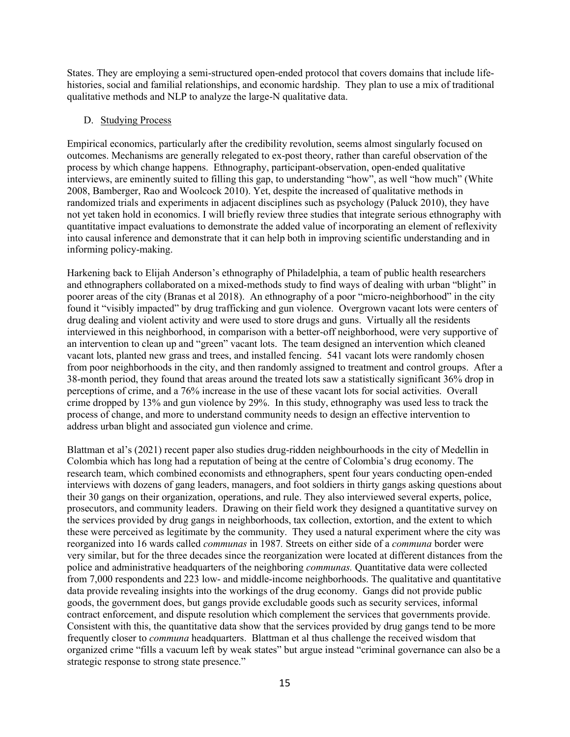States. They are employing a semi-structured open-ended protocol that covers domains that include lifehistories, social and familial relationships, and economic hardship. They plan to use a mix of traditional qualitative methods and NLP to analyze the large-N qualitative data.

# D. Studying Process

Empirical economics, particularly after the credibility revolution, seems almost singularly focused on outcomes. Mechanisms are generally relegated to ex-post theory, rather than careful observation of the process by which change happens. Ethnography, participant-observation, open-ended qualitative interviews, are eminently suited to filling this gap, to understanding "how", as well "how much" (White 2008, Bamberger, Rao and Woolcock 2010). Yet, despite the increased of qualitative methods in randomized trials and experiments in adjacent disciplines such as psychology (Paluck 2010), they have not yet taken hold in economics. I will briefly review three studies that integrate serious ethnography with quantitative impact evaluations to demonstrate the added value of incorporating an element of reflexivity into causal inference and demonstrate that it can help both in improving scientific understanding and in informing policy-making.

Harkening back to Elijah Anderson's ethnography of Philadelphia, a team of public health researchers and ethnographers collaborated on a mixed-methods study to find ways of dealing with urban "blight" in poorer areas of the city (Branas et al 2018). An ethnography of a poor "micro-neighborhood" in the city found it "visibly impacted" by drug trafficking and gun violence. Overgrown vacant lots were centers of drug dealing and violent activity and were used to store drugs and guns. Virtually all the residents interviewed in this neighborhood, in comparison with a better-off neighborhood, were very supportive of an intervention to clean up and "green" vacant lots. The team designed an intervention which cleaned vacant lots, planted new grass and trees, and installed fencing. 541 vacant lots were randomly chosen from poor neighborhoods in the city, and then randomly assigned to treatment and control groups. After a 38-month period, they found that areas around the treated lots saw a statistically significant 36% drop in perceptions of crime, and a 76% increase in the use of these vacant lots for social activities. Overall crime dropped by 13% and gun violence by 29%. In this study, ethnography was used less to track the process of change, and more to understand community needs to design an effective intervention to address urban blight and associated gun violence and crime.

Blattman et al's (2021) recent paper also studies drug-ridden neighbourhoods in the city of Medellin in Colombia which has long had a reputation of being at the centre of Colombia's drug economy. The research team, which combined economists and ethnographers, spent four years conducting open-ended interviews with dozens of gang leaders, managers, and foot soldiers in thirty gangs asking questions about their 30 gangs on their organization, operations, and rule. They also interviewed several experts, police, prosecutors, and community leaders. Drawing on their field work they designed a quantitative survey on the services provided by drug gangs in neighborhoods, tax collection, extortion, and the extent to which these were perceived as legitimate by the community. They used a natural experiment where the city was reorganized into 16 wards called *communas* in 1987*.* Streets on either side of a *communa* border were very similar, but for the three decades since the reorganization were located at different distances from the police and administrative headquarters of the neighboring *communas.* Quantitative data were collected from 7,000 respondents and 223 low- and middle-income neighborhoods. The qualitative and quantitative data provide revealing insights into the workings of the drug economy. Gangs did not provide public goods, the government does, but gangs provide excludable goods such as security services, informal contract enforcement, and dispute resolution which complement the services that governments provide. Consistent with this, the quantitative data show that the services provided by drug gangs tend to be more frequently closer to *communa* headquarters. Blattman et al thus challenge the received wisdom that organized crime "fills a vacuum left by weak states" but argue instead "criminal governance can also be a strategic response to strong state presence."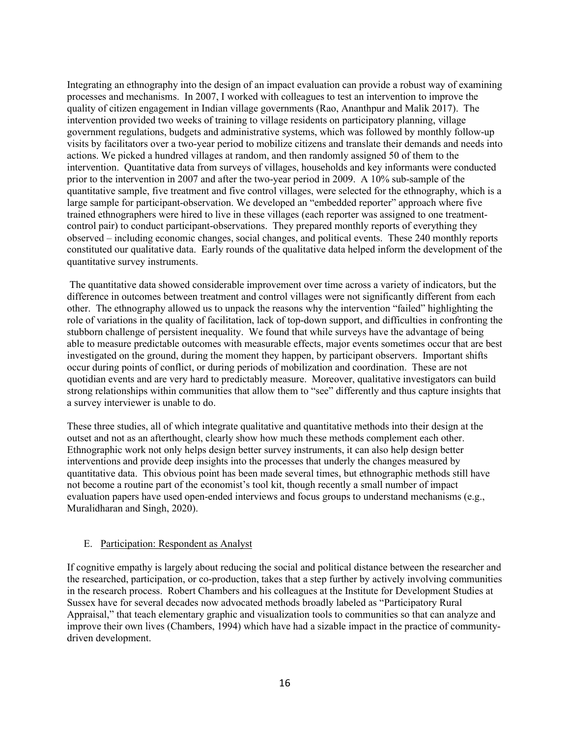Integrating an ethnography into the design of an impact evaluation can provide a robust way of examining processes and mechanisms. In 2007, I worked with colleagues to test an intervention to improve the quality of citizen engagement in Indian village governments (Rao, Ananthpur and Malik 2017). The intervention provided two weeks of training to village residents on participatory planning, village government regulations, budgets and administrative systems, which was followed by monthly follow-up visits by facilitators over a two-year period to mobilize citizens and translate their demands and needs into actions. We picked a hundred villages at random, and then randomly assigned 50 of them to the intervention. Quantitative data from surveys of villages, households and key informants were conducted prior to the intervention in 2007 and after the two-year period in 2009. A 10% sub-sample of the quantitative sample, five treatment and five control villages, were selected for the ethnography, which is a large sample for participant-observation. We developed an "embedded reporter" approach where five trained ethnographers were hired to live in these villages (each reporter was assigned to one treatmentcontrol pair) to conduct participant-observations. They prepared monthly reports of everything they observed – including economic changes, social changes, and political events. These 240 monthly reports constituted our qualitative data. Early rounds of the qualitative data helped inform the development of the quantitative survey instruments.

The quantitative data showed considerable improvement over time across a variety of indicators, but the difference in outcomes between treatment and control villages were not significantly different from each other. The ethnography allowed us to unpack the reasons why the intervention "failed" highlighting the role of variations in the quality of facilitation, lack of top-down support, and difficulties in confronting the stubborn challenge of persistent inequality. We found that while surveys have the advantage of being able to measure predictable outcomes with measurable effects, major events sometimes occur that are best investigated on the ground, during the moment they happen, by participant observers. Important shifts occur during points of conflict, or during periods of mobilization and coordination. These are not quotidian events and are very hard to predictably measure. Moreover, qualitative investigators can build strong relationships within communities that allow them to "see" differently and thus capture insights that a survey interviewer is unable to do.

These three studies, all of which integrate qualitative and quantitative methods into their design at the outset and not as an afterthought, clearly show how much these methods complement each other. Ethnographic work not only helps design better survey instruments, it can also help design better interventions and provide deep insights into the processes that underly the changes measured by quantitative data. This obvious point has been made several times, but ethnographic methods still have not become a routine part of the economist's tool kit, though recently a small number of impact evaluation papers have used open-ended interviews and focus groups to understand mechanisms (e.g., Muralidharan and Singh, 2020).

# E. Participation: Respondent as Analyst

If cognitive empathy is largely about reducing the social and political distance between the researcher and the researched, participation, or co-production, takes that a step further by actively involving communities in the research process. Robert Chambers and his colleagues at the Institute for Development Studies at Sussex have for several decades now advocated methods broadly labeled as "Participatory Rural Appraisal," that teach elementary graphic and visualization tools to communities so that can analyze and improve their own lives (Chambers, 1994) which have had a sizable impact in the practice of communitydriven development.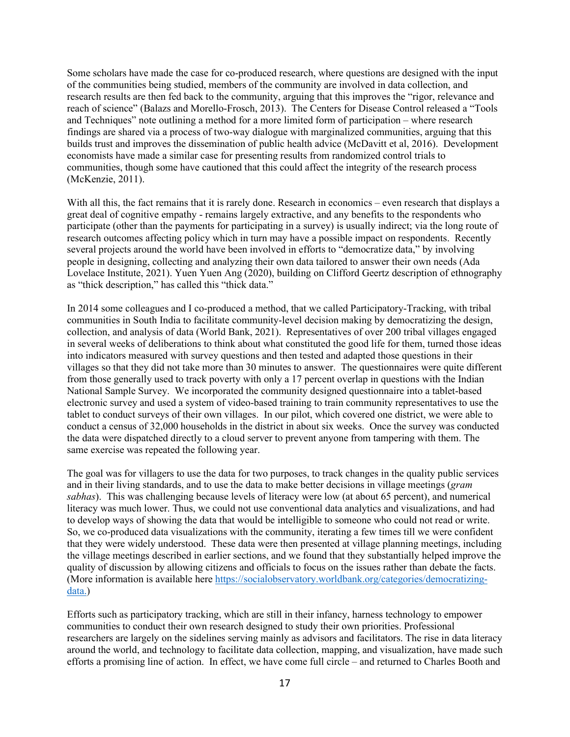Some scholars have made the case for co-produced research, where questions are designed with the input of the communities being studied, members of the community are involved in data collection, and research results are then fed back to the community, arguing that this improves the "rigor, relevance and reach of science" (Balazs and Morello-Frosch, 2013). The Centers for Disease Control released a "Tools and Techniques" note outlining a method for a more limited form of participation – where research findings are shared via a process of two-way dialogue with marginalized communities, arguing that this builds trust and improves the dissemination of public health advice (McDavitt et al, 2016). Development economists have made a similar case for presenting results from randomized control trials to communities, though some have cautioned that this could affect the integrity of the research process (McKenzie, 2011).

With all this, the fact remains that it is rarely done. Research in economics – even research that displays a great deal of cognitive empathy - remains largely extractive, and any benefits to the respondents who participate (other than the payments for participating in a survey) is usually indirect; via the long route of research outcomes affecting policy which in turn may have a possible impact on respondents. Recently several projects around the world have been involved in efforts to "democratize data," by involving people in designing, collecting and analyzing their own data tailored to answer their own needs (Ada Lovelace Institute, 2021). Yuen Yuen Ang (2020), building on Clifford Geertz description of ethnography as "thick description," has called this "thick data."

In 2014 some colleagues and I co-produced a method, that we called Participatory-Tracking, with tribal communities in South India to facilitate community-level decision making by democratizing the design, collection, and analysis of data (World Bank, 2021). Representatives of over 200 tribal villages engaged in several weeks of deliberations to think about what constituted the good life for them, turned those ideas into indicators measured with survey questions and then tested and adapted those questions in their villages so that they did not take more than 30 minutes to answer. The questionnaires were quite different from those generally used to track poverty with only a 17 percent overlap in questions with the Indian National Sample Survey. We incorporated the community designed questionnaire into a tablet-based electronic survey and used a system of video-based training to train community representatives to use the tablet to conduct surveys of their own villages. In our pilot, which covered one district, we were able to conduct a census of 32,000 households in the district in about six weeks. Once the survey was conducted the data were dispatched directly to a cloud server to prevent anyone from tampering with them. The same exercise was repeated the following year.

The goal was for villagers to use the data for two purposes, to track changes in the quality public services and in their living standards, and to use the data to make better decisions in village meetings (*gram sabhas*). This was challenging because levels of literacy were low (at about 65 percent), and numerical literacy was much lower. Thus, we could not use conventional data analytics and visualizations, and had to develop ways of showing the data that would be intelligible to someone who could not read or write. So, we co-produced data visualizations with the community, iterating a few times till we were confident that they were widely understood. These data were then presented at village planning meetings, including the village meetings described in earlier sections, and we found that they substantially helped improve the quality of discussion by allowing citizens and officials to focus on the issues rather than debate the facts. (More information is available here [https://socialobservatory.worldbank.org/categories/democratizing](https://socialobservatory.worldbank.org/categories/democratizing-data)[data.](https://socialobservatory.worldbank.org/categories/democratizing-data))

Efforts such as participatory tracking, which are still in their infancy, harness technology to empower communities to conduct their own research designed to study their own priorities. Professional researchers are largely on the sidelines serving mainly as advisors and facilitators. The rise in data literacy around the world, and technology to facilitate data collection, mapping, and visualization, have made such efforts a promising line of action. In effect, we have come full circle – and returned to Charles Booth and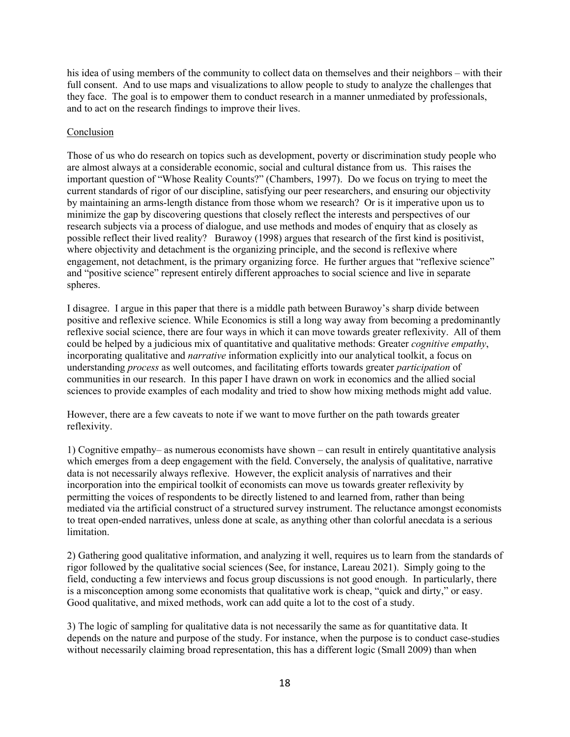his idea of using members of the community to collect data on themselves and their neighbors – with their full consent. And to use maps and visualizations to allow people to study to analyze the challenges that they face. The goal is to empower them to conduct research in a manner unmediated by professionals, and to act on the research findings to improve their lives.

# Conclusion

Those of us who do research on topics such as development, poverty or discrimination study people who are almost always at a considerable economic, social and cultural distance from us. This raises the important question of "Whose Reality Counts?" (Chambers, 1997). Do we focus on trying to meet the current standards of rigor of our discipline, satisfying our peer researchers, and ensuring our objectivity by maintaining an arms-length distance from those whom we research? Or is it imperative upon us to minimize the gap by discovering questions that closely reflect the interests and perspectives of our research subjects via a process of dialogue, and use methods and modes of enquiry that as closely as possible reflect their lived reality? Burawoy (1998) argues that research of the first kind is positivist, where objectivity and detachment is the organizing principle, and the second is reflexive where engagement, not detachment, is the primary organizing force. He further argues that "reflexive science" and "positive science" represent entirely different approaches to social science and live in separate spheres.

I disagree. I argue in this paper that there is a middle path between Burawoy's sharp divide between positive and reflexive science. While Economics is still a long way away from becoming a predominantly reflexive social science, there are four ways in which it can move towards greater reflexivity. All of them could be helped by a judicious mix of quantitative and qualitative methods: Greater *cognitive empathy*, incorporating qualitative and *narrative* information explicitly into our analytical toolkit, a focus on understanding *process* as well outcomes, and facilitating efforts towards greater *participation* of communities in our research. In this paper I have drawn on work in economics and the allied social sciences to provide examples of each modality and tried to show how mixing methods might add value.

However, there are a few caveats to note if we want to move further on the path towards greater reflexivity.

1) Cognitive empathy– as numerous economists have shown – can result in entirely quantitative analysis which emerges from a deep engagement with the field. Conversely, the analysis of qualitative, narrative data is not necessarily always reflexive. However, the explicit analysis of narratives and their incorporation into the empirical toolkit of economists can move us towards greater reflexivity by permitting the voices of respondents to be directly listened to and learned from, rather than being mediated via the artificial construct of a structured survey instrument. The reluctance amongst economists to treat open-ended narratives, unless done at scale, as anything other than colorful anecdata is a serious limitation.

2) Gathering good qualitative information, and analyzing it well, requires us to learn from the standards of rigor followed by the qualitative social sciences (See, for instance, Lareau 2021). Simply going to the field, conducting a few interviews and focus group discussions is not good enough. In particularly, there is a misconception among some economists that qualitative work is cheap, "quick and dirty," or easy. Good qualitative, and mixed methods, work can add quite a lot to the cost of a study.

3) The logic of sampling for qualitative data is not necessarily the same as for quantitative data. It depends on the nature and purpose of the study. For instance, when the purpose is to conduct case-studies without necessarily claiming broad representation, this has a different logic (Small 2009) than when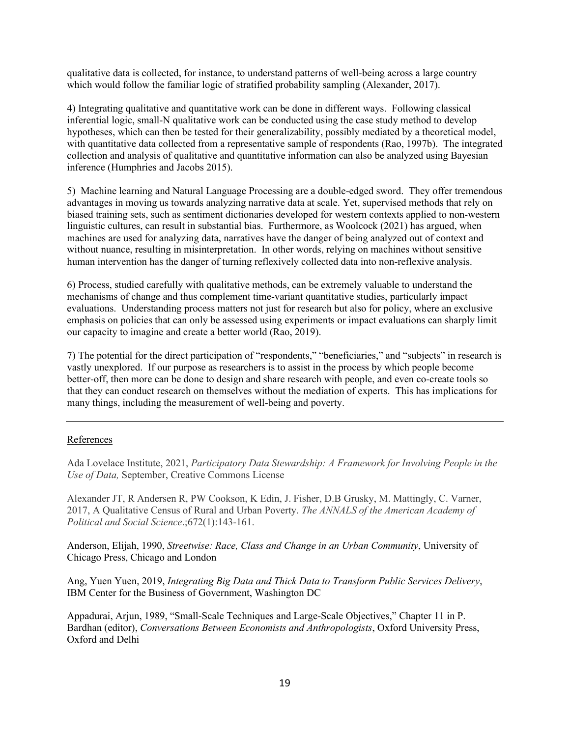qualitative data is collected, for instance, to understand patterns of well-being across a large country which would follow the familiar logic of stratified probability sampling (Alexander, 2017).

4) Integrating qualitative and quantitative work can be done in different ways. Following classical inferential logic, small-N qualitative work can be conducted using the case study method to develop hypotheses, which can then be tested for their generalizability, possibly mediated by a theoretical model, with quantitative data collected from a representative sample of respondents (Rao, 1997b). The integrated collection and analysis of qualitative and quantitative information can also be analyzed using Bayesian inference (Humphries and Jacobs 2015).

5) Machine learning and Natural Language Processing are a double-edged sword. They offer tremendous advantages in moving us towards analyzing narrative data at scale. Yet, supervised methods that rely on biased training sets, such as sentiment dictionaries developed for western contexts applied to non-western linguistic cultures, can result in substantial bias. Furthermore, as Woolcock (2021) has argued, when machines are used for analyzing data, narratives have the danger of being analyzed out of context and without nuance, resulting in misinterpretation. In other words, relying on machines without sensitive human intervention has the danger of turning reflexively collected data into non-reflexive analysis.

6) Process, studied carefully with qualitative methods, can be extremely valuable to understand the mechanisms of change and thus complement time-variant quantitative studies, particularly impact evaluations. Understanding process matters not just for research but also for policy, where an exclusive emphasis on policies that can only be assessed using experiments or impact evaluations can sharply limit our capacity to imagine and create a better world (Rao, 2019).

7) The potential for the direct participation of "respondents," "beneficiaries," and "subjects" in research is vastly unexplored. If our purpose as researchers is to assist in the process by which people become better-off, then more can be done to design and share research with people, and even co-create tools so that they can conduct research on themselves without the mediation of experts. This has implications for many things, including the measurement of well-being and poverty.

# References

Ada Lovelace Institute, 2021, *Participatory Data Stewardship: A Framework for Involving People in the Use of Data,* September, Creative Commons License

Alexander JT, R Andersen R, PW Cookson, K Edin, J. Fisher, D.B Grusky, M. Mattingly, C. Varner, 2017, A Qualitative Census of Rural and Urban Poverty. *The ANNALS of the American Academy of Political and Social Science*.;672(1):143-161.

Anderson, Elijah, 1990, *Streetwise: Race, Class and Change in an Urban Community*, University of Chicago Press, Chicago and London

Ang, Yuen Yuen, 2019, *Integrating Big Data and Thick Data to Transform Public Services Delivery*, IBM Center for the Business of Government, Washington DC

Appadurai, Arjun, 1989, "Small-Scale Techniques and Large-Scale Objectives," Chapter 11 in P. Bardhan (editor), *Conversations Between Economists and Anthropologists*, Oxford University Press, Oxford and Delhi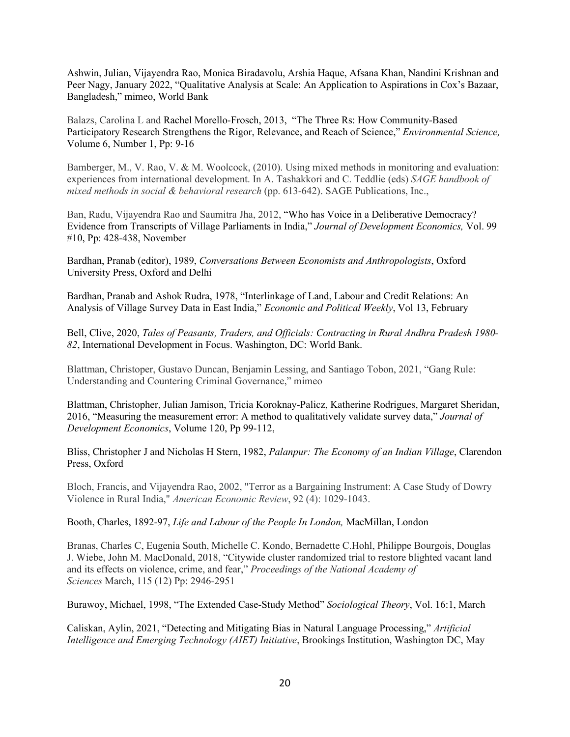Ashwin, Julian, Vijayendra Rao, Monica Biradavolu, Arshia Haque, Afsana Khan, Nandini Krishnan and Peer Nagy, January 2022, "Qualitative Analysis at Scale: An Application to Aspirations in Cox's Bazaar, Bangladesh," mimeo, World Bank

Balazs, Carolina L and Rachel Morello-Frosch, 2013, "The Three Rs: How Community-Based Participatory Research Strengthens the Rigor, Relevance, and Reach of Science," *Environmental Science,*  Volume 6, Number 1, Pp: 9-16

Bamberger, M., V. Rao, V. & M. Woolcock, (2010). Using mixed methods in monitoring and evaluation: experiences from international development. In A. Tashakkori and C. Teddlie (eds) *SAGE handbook of mixed methods in social & behavioral research* (pp. 613-642). SAGE Publications, Inc.,

Ban, Radu, Vijayendra Rao and Saumitra Jha, 2012, "Who has Voice in a Deliberative Democracy? Evidence from Transcripts of Village Parliaments in India," *Journal of Development Economics,* Vol. 99 #10, Pp: 428-438, November

Bardhan, Pranab (editor), 1989, *Conversations Between Economists and Anthropologists*, Oxford University Press, Oxford and Delhi

Bardhan, Pranab and Ashok Rudra, 1978, "Interlinkage of Land, Labour and Credit Relations: An Analysis of Village Survey Data in East India," *Economic and Political Weekly*, Vol 13, February

Bell, Clive, 2020, *Tales of Peasants, Traders, and Officials: Contracting in Rural Andhra Pradesh 1980- 82*, International Development in Focus. Washington, DC: World Bank.

Blattman, Christoper, Gustavo Duncan, Benjamin Lessing, and Santiago Tobon, 2021, "Gang Rule: Understanding and Countering Criminal Governance," mimeo

Blattman, Christopher, Julian Jamison, Tricia Koroknay-Palicz, Katherine Rodrigues, Margaret Sheridan, 2016, "Measuring the measurement error: A method to qualitatively validate survey data," *Journal of Development Economics*, Volume 120, Pp 99-112,

Bliss, Christopher J and Nicholas H Stern, 1982, *Palanpur: The Economy of an Indian Village*, Clarendon Press, Oxford

Bloch, Francis, and Vijayendra Rao, 2002, "Terror as a Bargaining Instrument: A Case Study of Dowry Violence in Rural India," *American Economic Review*, 92 (4): 1029-1043.

Booth, Charles, 1892-97, *Life and Labour of the People In London,* MacMillan, London

Branas, Charles C, Eugenia South, Michelle C. Kondo, Bernadette C.Hohl, Philippe Bourgois, Douglas J. Wiebe, John M. MacDonald, 2018, "Citywide cluster randomized trial to restore blighted vacant land and its effects on violence, crime, and fear," *Proceedings of the National Academy of Sciences* March, 115 (12) Pp: 2946-2951

Burawoy, Michael, 1998, "The Extended Case-Study Method" *Sociological Theory*, Vol. 16:1, March

Caliskan, Aylin, 2021, "Detecting and Mitigating Bias in Natural Language Processing," *Artificial Intelligence and Emerging Technology (AIET) Initiative*, Brookings Institution, Washington DC, May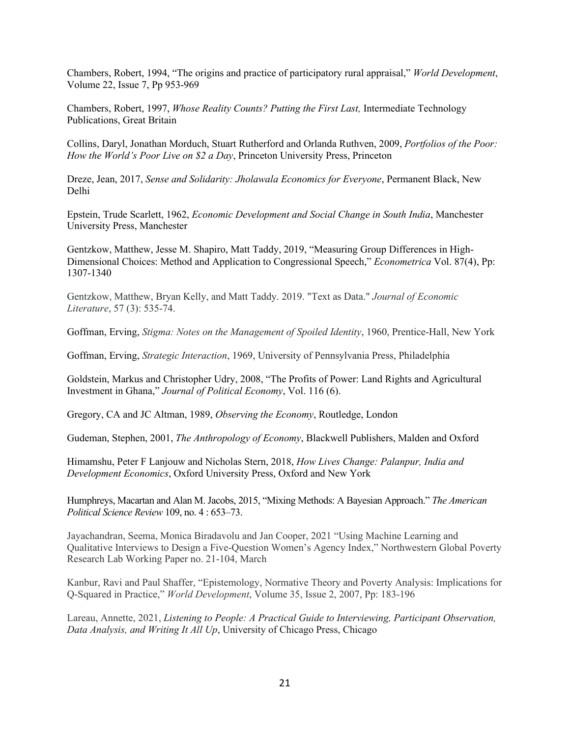Chambers, Robert, 1994, "The origins and practice of participatory rural appraisal," *World Development*, Volume 22, Issue 7, Pp 953-969

Chambers, Robert, 1997, *Whose Reality Counts? Putting the First Last,* Intermediate Technology Publications, Great Britain

Collins, Daryl, Jonathan Morduch, Stuart Rutherford and Orlanda Ruthven, 2009, *Portfolios of the Poor: How the World's Poor Live on \$2 a Day*, Princeton University Press, Princeton

Dreze, Jean, 2017, *Sense and Solidarity: Jholawala Economics for Everyone*, Permanent Black, New Delhi

Epstein, Trude Scarlett, 1962, *Economic Development and Social Change in South India*, Manchester University Press, Manchester

Gentzkow, Matthew, Jesse M. Shapiro, Matt Taddy, 2019, "Measuring Group Differences in High-Dimensional Choices: Method and Application to Congressional Speech," *Econometrica* Vol. 87(4), Pp: 1307-1340

Gentzkow, Matthew, Bryan Kelly, and Matt Taddy. 2019. "Text as Data." *Journal of Economic Literature*, 57 (3): 535-74.

Goffman, Erving, *Stigma: Notes on the Management of Spoiled Identity*, 1960, Prentice-Hall, New York

Goffman, Erving, *Strategic Interaction*, 1969, University of Pennsylvania Press, Philadelphia

Goldstein, Markus and Christopher Udry, 2008, "The Profits of Power: Land Rights and Agricultural Investment in Ghana," *Journal of Political Economy*, Vol. 116 (6).

Gregory, CA and JC Altman, 1989, *Observing the Economy*, Routledge, London

Gudeman, Stephen, 2001, *The Anthropology of Economy*, Blackwell Publishers, Malden and Oxford

Himamshu, Peter F Lanjouw and Nicholas Stern, 2018, *How Lives Change: Palanpur, India and Development Economics*, Oxford University Press, Oxford and New York

Humphreys, Macartan and Alan M. Jacobs, 2015, "Mixing Methods: A Bayesian Approach." *The American Political Science Review* 109, no. 4 : 653–73.

Jayachandran, Seema, Monica Biradavolu and Jan Cooper, 2021 "Using Machine Learning and Qualitative Interviews to Design a Five-Question Women's Agency Index," Northwestern Global Poverty Research Lab Working Paper no. 21-104, March

Kanbur, Ravi and Paul Shaffer, "Epistemology, Normative Theory and Poverty Analysis: Implications for Q-Squared in Practice," *World Development*, Volume 35, Issue 2, 2007, Pp: 183-196

Lareau, Annette, 2021, *Listening to People: A Practical Guide to Interviewing, Participant Observation, Data Analysis, and Writing It All Up*, University of Chicago Press, Chicago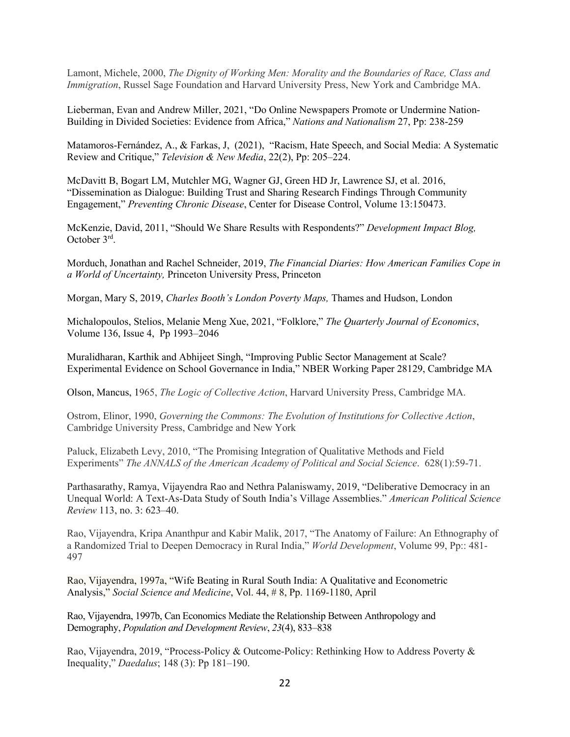Lamont, Michele, 2000, *The Dignity of Working Men: Morality and the Boundaries of Race, Class and Immigration*, Russel Sage Foundation and Harvard University Press, New York and Cambridge MA.

Lieberman, Evan and Andrew Miller, 2021, "Do Online Newspapers Promote or Undermine Nation-Building in Divided Societies: Evidence from Africa," *Nations and Nationalism* 27, Pp: 238-259

Matamoros-Fernández, A., & Farkas, J, (2021), "Racism, Hate Speech, and Social Media: A Systematic Review and Critique," *Television & New Media*, 22(2), Pp: 205–224.

McDavitt B, Bogart LM, Mutchler MG, Wagner GJ, Green HD Jr, Lawrence SJ, et al. 2016, "Dissemination as Dialogue: Building Trust and Sharing Research Findings Through Community Engagement," *Preventing Chronic Disease*, Center for Disease Control, Volume 13:150473.

McKenzie, David, 2011, "Should We Share Results with Respondents?" *Development Impact Blog,* October 3rd.

Morduch, Jonathan and Rachel Schneider, 2019, *The Financial Diaries: How American Families Cope in a World of Uncertainty,* Princeton University Press, Princeton

Morgan, Mary S, 2019, *Charles Booth's London Poverty Maps,* Thames and Hudson, London

Michalopoulos, Stelios, Melanie Meng Xue, 2021, "Folklore," *The Quarterly Journal of Economics*, Volume 136, Issue 4, Pp 1993–2046

Muralidharan, Karthik and Abhijeet Singh, "Improving Public Sector Management at Scale? Experimental Evidence on School Governance in India," NBER Working Paper 28129, Cambridge MA

Olson, Mancus, 1965, *The Logic of Collective Action*, Harvard University Press, Cambridge MA.

Ostrom, Elinor, 1990, *Governing the Commons: The Evolution of Institutions for Collective Action*, Cambridge University Press, Cambridge and New York

Paluck, Elizabeth Levy, 2010, "The Promising Integration of Qualitative Methods and Field Experiments" *The ANNALS of the American Academy of Political and Social Science*. 628(1):59-71.

Parthasarathy, Ramya, Vijayendra Rao and Nethra Palaniswamy, 2019, "Deliberative Democracy in an Unequal World: A Text-As-Data Study of South India's Village Assemblies." *American Political Science Review* 113, no. 3: 623–40.

Rao, Vijayendra, Kripa Ananthpur and Kabir Malik, 2017, "The Anatomy of Failure: An Ethnography of a Randomized Trial to Deepen Democracy in Rural India," *World Development*, Volume 99, Pp:: 481- 497

Rao, Vijayendra, 1997a, "Wife Beating in Rural South India: A Qualitative and Econometric Analysis," *Social Science and Medicine*, Vol. 44, # 8, Pp. 1169-1180, April

Rao, Vijayendra, 1997b, Can Economics Mediate the Relationship Between Anthropology and Demography, *Population and Development Review*, *23*(4), 833–838

Rao, Vijayendra, 2019, "Process-Policy & Outcome-Policy: Rethinking How to Address Poverty & Inequality," *Daedalus*; 148 (3): Pp 181–190.